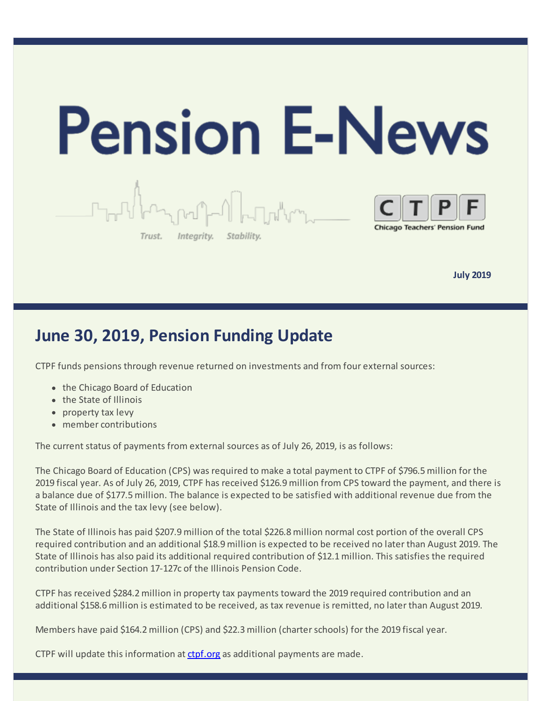

**July 2019** 

## **June 30, 2019, Pension Funding Update**

CTPF funds pensions through revenue returned on investments and from four external sources:

- the Chicago Board of Education
- the State of Illinois
- property tax levy
- member contributions

The current status of payments from external sources as of July 26, 2019, is as follows:

The Chicago Board of Education (CPS) was required to make a total payment to CTPF of \$796.5 million for the 2019 fiscal year. As of July 26, 2019, CTPF has received \$126.9 million from CPS toward the payment, and there is a balance due of \$177.5 million. The balance is expected to be satisfied with additional revenue due from the State of Illinois and the tax levy (see below).

The State of Illinois has paid \$207.9 million of the total \$226.8 million normal cost portion of the overall CPS required contribution and an additional \$18.9 million is expected to be received no later than August 2019. The State of Illinois has also paid its additional required contribution of \$12.1 million. This satisfies the required contribution under Section 17-127c of the Illinois Pension Code.

CTPF has received \$284.2 million in property tax payments toward the 2019 required contribution and an additional \$158.6 million is estimated to be received, as tax revenue is remitted, no later than August 2019.

Members have paid \$164.2 million (CPS) and \$22.3 million (charter schools) for the 2019 fiscal year.

CTPF will update this information at [ctpf.org](https://www.ctpf.org/news/june-30-2019-pension-funding-update) as additional payments are made.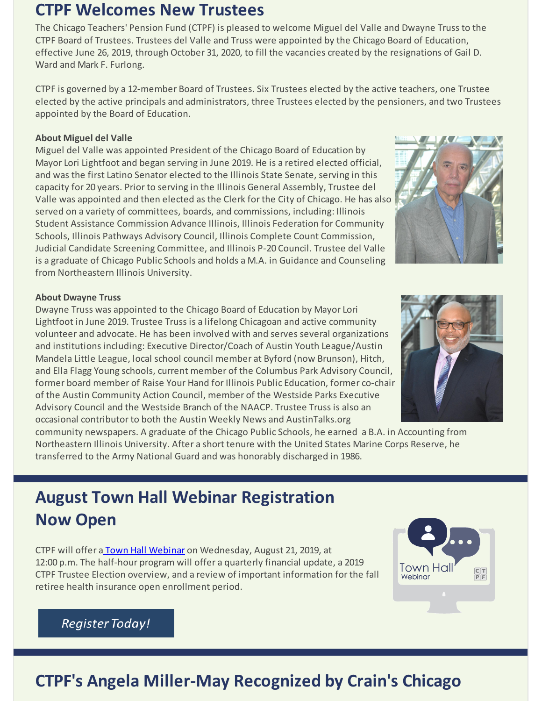### **CTPF Welcomes New Trustees**

The Chicago Teachers' Pension Fund (CTPF) is pleased to welcome Miguel del Valle and Dwayne Truss to the CTPF Board of Trustees. Trustees del Valle and Truss were appointed by the Chicago Board of Education, effective June 26, 2019, through October 31, 2020, to fill the vacancies created by the resignations of Gail D. Ward and Mark F. Furlong.

CTPF is governed by a 12-member Board of Trustees. Six Trustees elected by the active teachers, one Trustee elected by the active principals and administrators, three Trustees elected by the pensioners, and two Trustees appointed by the Board of Education.

#### **About Miguel del Valle**

Miguel del Valle was appointed President of the Chicago Board of Education by Mayor Lori Lightfoot and began serving in June 2019. He is a retired elected official, and was the first Latino Senator elected to the Illinois State Senate, serving in this capacity for 20 years. Prior to serving in the Illinois General Assembly, Trustee del Valle was appointed and then elected as the Clerk for the City of Chicago. He has also served on a variety of committees, boards, and commissions, including: Illinois Student Assistance Commission Advance Illinois, Illinois Federation for Community Schools, Illinois Pathways Advisory Council, Illinois Complete Count Commission, Judicial Candidate Screening Committee, and Illinois P-20 Council. Trustee del Valle is a graduate of Chicago Public Schools and holds a M.A. in Guidance and Counseling from Northeastern Illinois University.

#### **About Dwayne Truss**

Dwayne Truss was appointed to the Chicago Board of Education by Mayor Lori Lightfoot in June 2019. Trustee Truss is a lifelong Chicagoan and active community volunteer and advocate. He has been involved with and serves several organizations and institutions including: Executive Director/Coach of Austin Youth League/Austin Mandela Little League, local school council member at Byford (now Brunson), Hitch, and Ella Flagg Young schools, current member of the Columbus Park Advisory Council, former board member of Raise Your Hand for Illinois Public Education, former co-chair of the Austin Community Action Council, member of the Westside Parks Executive Advisory Council and the Westside Branch of the NAACP. Trustee Truss is also an occasional contributor to both the Austin Weekly News and AustinTalks.org

community newspapers. A graduate of the Chicago Public Schools, he earned a B.A. in Accounting from Northeastern Illinois University. After a short tenure with the United States Marine Corps Reserve, he transferred to the Army National Guard and was honorably discharged in 1986.

# **August Town Hall Webinar Registration Now Open**

CTPF will offer [a Town Hall Webinar](https://register.gotowebinar.com/register/6648079809232006923) on Wednesday, August 21, 2019, at 12:00 p.m. The half-hour program will offer a quarterly financial update, a 2019 CTPF Trustee Election overview, and a review of important information for the fall retiree health insurance open enrollment period.

# Town Ha Webinar

#### **Register Today!**

# **CTPF's Angela Miller-May Recognized by Crain's Chicago**





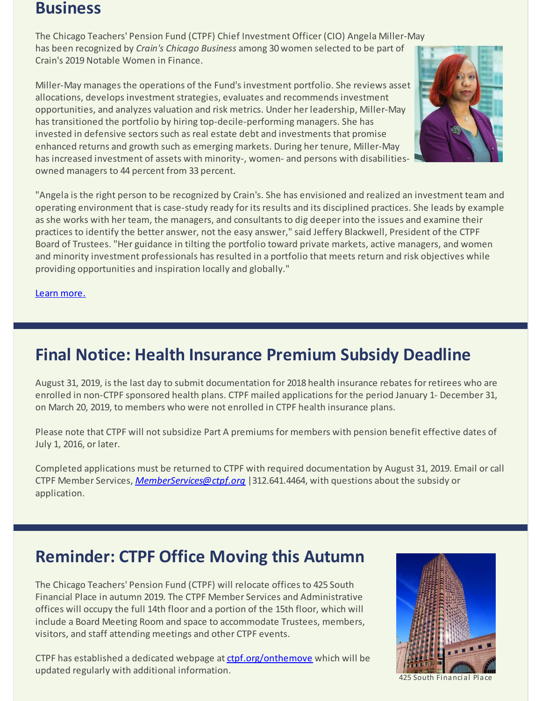#### **Business**

The Chicago Teachers' Pension Fund (CTPF) Chief Investment Officer (CIO) Angela Miller-May has been recognized by *Crain's Chicago Business* among 30 women selected to be part of Crain's 2019 Notable Women in Finance.

Miller-May manages the operations of the Fund's investment portfolio. She reviews asset allocations, develops investment strategies, evaluates and recommends investment opportunities, and analyzes valuation and risk metrics. Under her leadership, Miller-May has transitioned the portfolio by hiring top-decile-performing managers. She has invested in defensive sectors such as real estate debt and investments that promise enhanced returns and growth such as emerging markets. During her tenure, Miller-May has increased investment of assets with minority-, women- and persons with disabilitiesowned managers to 44 percent from 33 percent.



"Angela is the right person to be recognized by Crain's. She has envisioned and realized an investment team and operating environment that is case-study ready for its results and its disciplined practices. She leads by example as she works with her team, the managers, and consultants to dig deeper into the issues and examine their practices to identify the better answer, not the easy answer," said Jeffery Blackwell, President of the CTPF Board of Trustees. "Her guidance in tilting the portfolio toward private markets, active managers, and women and minority investment professionals has resulted in a portfolio that meets return and risk objectives while providing opportunities and inspiration locally and globally."

Learn [more.](https://www.ctpf.org/press-release/chicago-teachers-pension-fund-chief-investment-officer-angela-miller-may-recognized)

# **Final Notice: Health Insurance Premium Subsidy Deadline**

August 31, 2019, is the last day to submit documentation for 2018 health insurance rebates for retirees who are enrolled in non-CTPF sponsored health plans. CTPF mailed applications for the period January 1- December 31, on March 20, 2019, to members who were not enrolled in CTPF health insurance plans.

Please note that CTPF will not subsidize Part A premiums for members with pension benefit effective dates of July 1, 2016, or later.

Completed applications must be returned to CTPF with required documentation by August 31, 2019. Email or call CTPF Member Services, *[MemberServices@ctpf.org](mailto:MemberServices@ctpf.org)* |312.641.4464, with questions about the subsidy or application.

### **Reminder: CTPF Office Moving this Autumn**

The Chicago Teachers' Pension Fund (CTPF) will relocate offices to 425 South Financial Place in autumn 2019. The CTPF Member Services and Administrative offices will occupy the full 14th floor and a portion of the 15th floor, which will include a Board Meeting Room and space to accommodate Trustees, members, visitors, and staff attending meetings and other CTPF events.

CTPF has established a dedicated webpage at [ctpf.org/onthemove](https://www.ctpf.org/onthemove) which will be updated regularly with additional information.



425 South Financial Place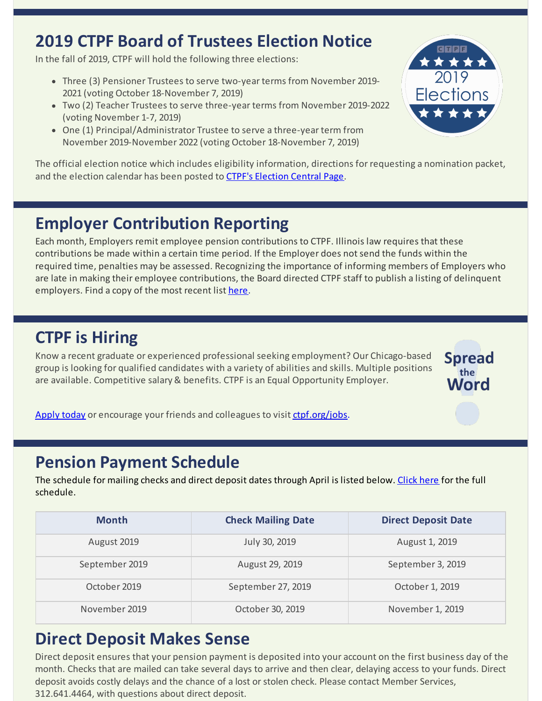# **2019 CTPF Board of Trustees Election Notice**

In the fall of 2019, CTPF will hold the following three elections:

- Three (3) Pensioner Trustees to serve two-year terms from November 2019-2021 (voting October 18-November 7, 2019)
- Two (2) Teacher Trustees to serve three-year terms from November 2019-2022 (voting November 1-7, 2019)
- One (1) Principal/Administrator Trustee to serve a three-year term from November 2019-November 2022 (voting October 18-November 7, 2019)



The official election notice which includes eligibility information, directions for requesting a nomination packet, and the election calendar has been posted to [CTPF's Election Central Page](https://www.ctpf.org/2019-election-central).

# **Employer Contribution Reporting**

Each month, Employers remit employee pension contributions to CTPF. Illinois law requires that these contributions be made within a certain time period. If the Employer does not send the funds within the required time, penalties may be assessed. Recognizing the importance of informing members of Employers who are late in making their employee contributions, the Board directed CTPF staff to publish a listing of delinquent employers. Find a copy of the most recent list [here](https://www.ctpf.org/employer-contribution-reporting).

# **CTPF is Hiring**

Know a recent graduate or experienced professional seeking employment? Our Chicago-based group is looking for qualified candidates with a variety of abilities and skills. Multiple positions are available. Competitive salary & benefits. CTPF is an Equal Opportunity Employer.



[Apply today](https://bit.ly/2IpJhUF) or encourage your friends and colleagues to visit [ctpf.org/jobs](http://www.ctpf.org/jobs).

#### **Pension Payment Schedule**

The schedule for mailing checks and direct deposit dates through April is listed below. [Click here](https://www.ctpf.org/pension-payments) for the full schedule.

| <b>Month</b>   | <b>Check Mailing Date</b> | <b>Direct Deposit Date</b> |
|----------------|---------------------------|----------------------------|
| August 2019    | July 30, 2019             | August 1, 2019             |
| September 2019 | August 29, 2019           | September 3, 2019          |
| October 2019   | September 27, 2019        | October 1, 2019            |
| November 2019  | October 30, 2019          | November 1, 2019           |

# **Direct Deposit Makes Sense**

Direct deposit ensures that your pension payment is deposited into your account on the first business day of the month. Checks that are mailed can take several days to arrive and then clear, delaying access to your funds. Direct deposit avoids costly delays and the chance of a lost or stolen check. Please contact Member Services, 312.641.4464, with questions about direct deposit.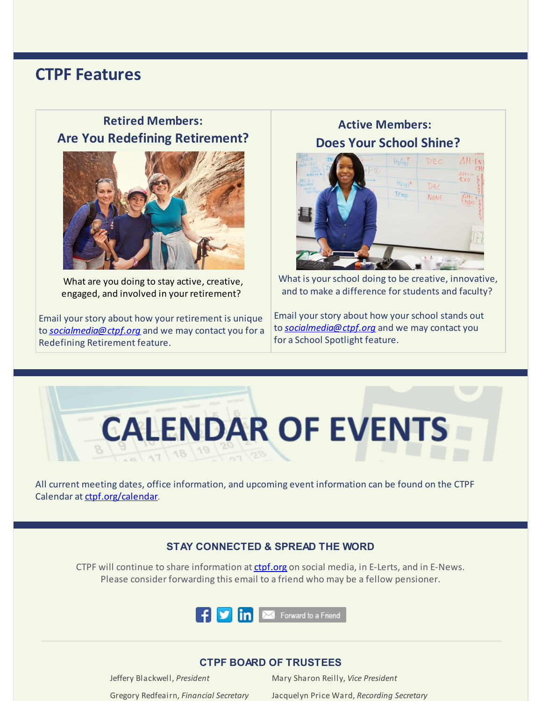#### **CTPF Features**

#### **Retired Members: Are You Redefining Retirement?**



What are you doing to stay active, creative, engaged, and involved in your retirement?

Email your story about how your retirement is unique to *[socialmedia@ctpf.org](mailto:socialmedia@ctpf.org)* and we may contact you for a Redefining Retirement feature.

#### **Active Members: Does Your School Shine?**



What is your school doing to be creative, innovative, and to make a difference for students and faculty?

Email your story about how your school stands out to *[socialmedia@ctpf.org](mailto:socialmedia@ctpf.org)* and we may contact you for a School Spotlight feature.



All current meeting dates, office information, and upcoming event information can be found on the CTPF Calendar at [ctpf.org/calendar](http://www.ctpf.org/calendar).

#### **STAY CONNECTED & SPREAD THE WORD**

CTPF will continue to share information at [ctpf.org](http://www.ctpf.org) on social media, in E-Lerts, and in E-News. Please consider forwarding this email to a friend who may be a fellow pensioner.



#### **CTPF BOARD OF TRUSTEES**

Jeffery Blackwell, *President* Mary Sharon Reilly, *Vice President*

Gregory Redfeairn, *Financial Secretary* Jacquelyn Price Ward, *Recording Secretary*